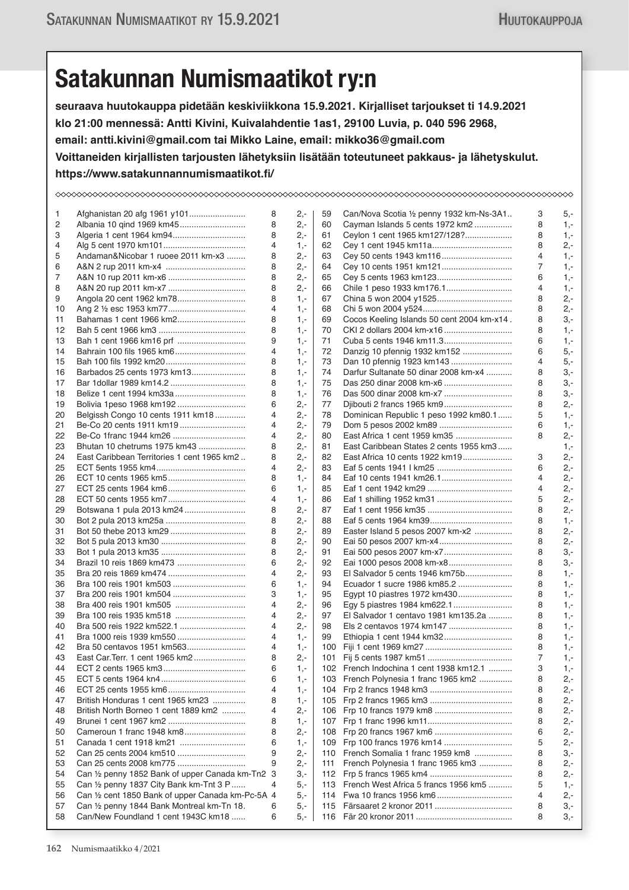## **Satakunnan Numismaatikot ry:n**

**seuraava huutokauppa pidetään keskiviikkona 15.9.2021. Kirjalliset tarjoukset ti 14.9.2021 klo 21:00 mennessä: Antti Kivini, Kuivalahdentie 1as1, 29100 Luvia, p. 040 596 2968, email: antti.kivini@gmail.com tai Mikko Laine, email: mikko36@gmail.com Voittaneiden kirjallisten tarjousten lähetyksiin lisätään toteutuneet pakkaus- ja lähetyskulut. https://www.satakunnannumismaatikot.fi/**

| 1  | Afghanistan 20 afg 1961 y101                      | 8 | $2 -$        | 59  | Can/Nova Scotia 1/2 penny 1932 km-Ns-3A1   | 3              | 5,-    |  |
|----|---------------------------------------------------|---|--------------|-----|--------------------------------------------|----------------|--------|--|
| 2  |                                                   | 8 | $2 -$        | 60  | Cayman Islands 5 cents 1972 km2            | 8              | $1 -$  |  |
| 3  | Algeria 1 cent 1964 km94                          | 8 | $2 -$        | 61  | Ceylon 1 cent 1965 km127/128?              | 8              | $1, -$ |  |
| 4  |                                                   | 4 | $1 -$        | 62  |                                            | 8              | $2 -$  |  |
| 5  | Andaman&Nicobar 1 ruoee 2011 km-x3                | 8 | 2,-          | 63  |                                            | 4              | $1, -$ |  |
| 6  |                                                   | 8 | $2 -$        | 64  | Cey 10 cents 1951 km121                    | 7              | $1 -$  |  |
| 7  |                                                   | 8 | 2.-          | 65  |                                            | 6              | $1,-$  |  |
| 8  |                                                   | 8 | 2.-          | 66  | Chile 1 peso 1933 km176.1                  | 4              | $1 -$  |  |
| 9  | Angola 20 cent 1962 km78                          | 8 | $1 -$        | 67  | China 5 won 2004 y1525                     | 8              | $2,-$  |  |
| 10 |                                                   | 4 | $1 -$        | 68  |                                            | 8              | $2 -$  |  |
| 11 | Bahamas 1 cent 1966 km2                           | 8 | $1 -$        | 69  | Cocos Keeling Islands 50 cent 2004 km-x14. | 8              | $3 -$  |  |
| 12 |                                                   | 8 | $1,-$        | 70  | CKI 2 dollars 2004 km-x16                  | 8              | $1 -$  |  |
| 13 |                                                   | 9 | $1 -$        | 71  |                                            | 6              | $1 -$  |  |
| 14 | Bahrain 100 fils 1965 km6                         | 4 | $1,-$        | 72  | Danzig 10 pfennig 1932 km152               | 6              | $5 -$  |  |
| 15 |                                                   | 8 | $1 -$        | 73  | Dan 10 pfennig 1923 km143                  | 4              | $5,-$  |  |
| 16 | Barbados 25 cents 1973 km13                       | 8 | $1 -$        | 74  | Darfur Sultanate 50 dinar 2008 km-x4       | 8              | $3 -$  |  |
| 17 | Bar 1dollar 1989 km14.2                           | 8 | $1 -$        | 75  | Das 250 dinar 2008 km-x6                   | 8              | $3 -$  |  |
| 18 |                                                   | 8 | $1,-$        | 76  | Das 500 dinar 2008 km-x7                   | 8              | $3 -$  |  |
| 19 | Bolivia 1peso 1968 km192                          | 6 | 2.-          | 77  | Djibouti 2 francs 1965 km9                 | 8              | $2 -$  |  |
| 20 | Belgissh Congo 10 cents 1911 km18                 | 4 | 2,-          | 78  | Dominican Republic 1 peso 1992 km80.1      | 5              | $1 -$  |  |
| 21 | Be-Co 20 cents 1911 km19                          | 4 | $2 -$        | 79  | Dom 5 pesos 2002 km89                      | 6              | $1 -$  |  |
| 22 | Be-Co 1franc 1944 km26                            | 4 | 2.-          | 80  | East Africa 1 cent 1959 km35               | 8              | $2,-$  |  |
| 23 | Bhutan 10 chetrums 1975 km43                      | 8 | 2.-          | 81  | East Caribbean States 2 cents 1955 km3     |                | $1 -$  |  |
| 24 | East Caribbean Territories 1 cent 1965 km2        | 8 | $2 -$        | 82  | East Africa 10 cents 1922 km19             | 3              | $2 -$  |  |
| 25 |                                                   | 4 | 2.-          | 83  |                                            | 6              | $2 -$  |  |
| 26 |                                                   | 8 | 1.-          | 84  | Eaf 10 cents 1941 km26.1                   | 4              | $2 -$  |  |
| 27 |                                                   | 6 | $1,-$        | 85  |                                            | 4              | $2,-$  |  |
| 28 |                                                   | 4 |              | 86  |                                            | 5              | $2 -$  |  |
| 29 | Botswana 1 pula 2013 km24                         | 8 | $1 -$<br>2,- | 87  | Eaf 1 shilling 1952 km31                   | 8              | $2 -$  |  |
|    |                                                   | 8 | $2 -$        |     |                                            | 8              | $1 -$  |  |
| 30 |                                                   |   |              | 88  |                                            |                |        |  |
| 31 |                                                   | 8 | 2,-          | 89  | Easter Island 5 pesos 2007 km-x2           | 8              | $2 -$  |  |
| 32 |                                                   | 8 | 2,-          | 90  | Eai 50 pesos 2007 km-x4                    | 8              | $2 -$  |  |
| 33 |                                                   | 8 | $2 -$        | 91  | Eai 500 pesos 2007 km-x7                   | 8              | $3,-$  |  |
| 34 |                                                   | 6 | 2.-          | 92  | Eai 1000 pesos 2008 km-x8                  | 8              | $3 -$  |  |
| 35 | Bra 20 reis 1869 km474                            | 4 | 2.-          | 93  | El Salvador 5 cents 1946 km75b             | 8              | $1 -$  |  |
| 36 |                                                   | 6 | $1 -$        | 94  | Ecuador 1 sucre 1986 km85.2                | 8              | $1 -$  |  |
| 37 |                                                   | 3 | $1,-$        | 95  | Egypt 10 piastres 1972 km430               | 8              | $1 -$  |  |
| 38 | Bra 400 reis 1901 km505                           | 4 | 2,-          | 96  | Egy 5 piastres 1984 km622.1                | 8              | $1,-$  |  |
| 39 | Bra 100 reis 1935 km518                           | 4 | $2 -$        | 97  | El Salvador 1 centavo 1981 km135.2a        | 8              | $1 -$  |  |
| 40 | Bra 500 reis 1922 km522.1                         | 4 | 2,-          | 98  | Els 2 centavos 1974 km147                  | 8              | $1,-$  |  |
| 41 | Bra 1000 reis 1939 km550                          | 4 | $1 -$        | 99  | Ethiopia 1 cent 1944 km32                  | 8              | $1,-$  |  |
| 42 | Bra 50 centavos 1951 km563                        | 4 | $1 -$        |     |                                            | 8              | $1 -$  |  |
| 43 |                                                   |   | $2,-$        |     |                                            | $\overline{7}$ | $1, -$ |  |
| 44 |                                                   | 6 | $1,-$        |     | 102 French Indochina 1 cent 1938 km12.1    | 3              | $1,-$  |  |
| 45 |                                                   | 6 | $1,-$        |     | 103 French Polynesia 1 franc 1965 km2      | 8              | 2,-    |  |
| 46 |                                                   | 4 | $1 -$        |     |                                            | 8              | $2,-$  |  |
| 47 | British Honduras 1 cent 1965 km23                 | 8 | $1,-$        |     |                                            | 8              | $2,-$  |  |
| 48 | British North Borneo 1 cent 1889 km2              | 4 | 2,-          |     |                                            | 8              | $2,-$  |  |
| 49 |                                                   | 8 | $1 -$        |     |                                            | 8              | $2,-$  |  |
| 50 | Cameroun 1 franc 1948 km8                         | 8 | 2,-          |     |                                            | 6              | $2,-$  |  |
| 51 | Canada 1 cent 1918 km21                           | 6 | $1,-$        |     |                                            | 5              | $2,-$  |  |
| 52 | Can 25 cents 2004 km510                           | 9 | $2,-$        | 110 | French Somalia 1 franc 1959 km8            | 8              | $3,-$  |  |
| 53 | Can 25 cents 2008 km775                           | 9 | 2,-          | 111 | French Polynesia 1 franc 1965 km3          | 8              | 2,-    |  |
| 54 | Can 1/2 penny 1852 Bank of upper Canada km-Tn2 3  |   | $3,-$        |     |                                            | 8              | $2,-$  |  |
| 55 | Can 1/2 penny 1837 City Bank km-Tnt 3 P           | 4 | 5,-          |     | 113 French West Africa 5 francs 1956 km5   | 5              | $1,-$  |  |
| 56 | Can 1/2 cent 1850 Bank of upper Canada km-Pc-5A 4 |   | 5,-          | 114 |                                            | 4              | $2,-$  |  |
| 57 | Can 1/2 penny 1844 Bank Montreal km-Tn 18.        | 6 | 5,-          | 115 |                                            | 8              | $3,-$  |  |
| 58 | Can/New Foundland 1 cent 1943C km18               | 6 | 5,-          |     |                                            | 8              | $3,-$  |  |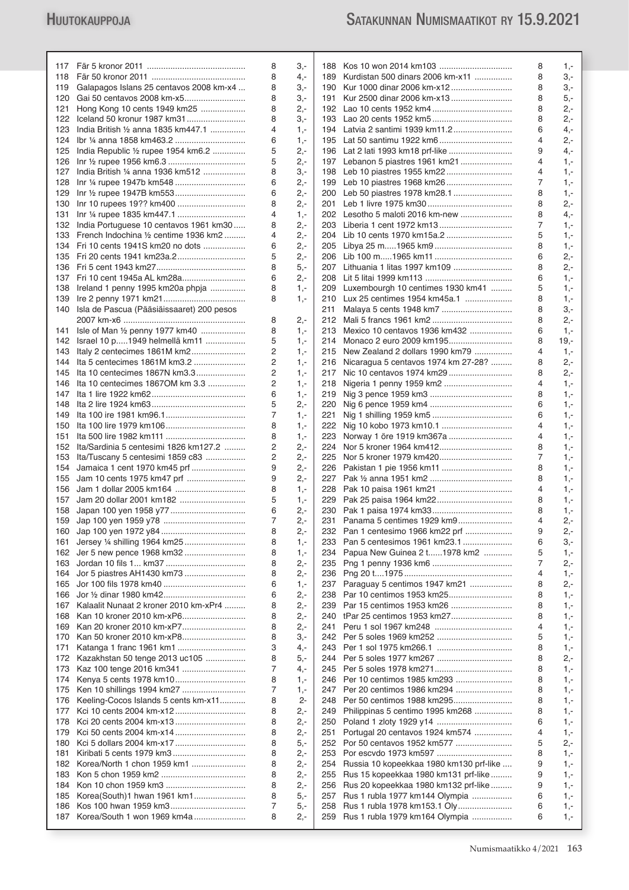|     |                                               | 8 | 3,-   |     |                                          | 8 | $1,-$ |
|-----|-----------------------------------------------|---|-------|-----|------------------------------------------|---|-------|
| 118 |                                               | 8 | 4,-   | 189 | Kurdistan 500 dinars 2006 km-x11         | 8 | 3,-   |
| 119 | Galapagos Islans 25 centavos 2008 km-x4       | 8 | 3,-   | 190 |                                          | 8 | 3,-   |
| 120 | Gai 50 centavos 2008 km-x5                    | 8 | 3,-   | 191 |                                          | 8 | $5,-$ |
| 121 | Hong Kong 10 cents 1949 km25                  | 8 | 2,-   |     |                                          | 8 | $2 -$ |
| 122 | Iceland 50 kronur 1987 km31                   | 8 | З,-   |     |                                          | 8 | $2 -$ |
| 123 | India British 1/2 anna 1835 km447.1           | 4 | $1 -$ |     |                                          | 6 | 4,-   |
| 124 |                                               | 6 | $1 -$ |     |                                          | 4 | $2 -$ |
| 125 |                                               | 5 |       |     |                                          |   |       |
|     | India Republic 1/2 rupee 1954 km6.2           |   | 2,-   |     |                                          | 9 | 4,-   |
| 126 |                                               | 5 | 2,-   |     | 197 Lebanon 5 piastres 1961 km21         | 4 | $1,-$ |
| 127 | India British 1/4 anna 1936 km512             | 8 | 3,-   |     | 198 Leb 10 piastres 1955 km22            | 4 | $1,-$ |
| 128 |                                               | 6 | 2,-   |     |                                          | 7 | $1,-$ |
| 129 |                                               | 6 | 2,-   |     |                                          | 8 | $1,-$ |
| 130 |                                               | 8 | $2,-$ |     |                                          | 8 | $2 -$ |
| 131 |                                               | 4 | $1 -$ |     | 202 Lesotho 5 maloti 2016 km-new         | 8 | 4,-   |
|     | 132 India Portuguese 10 centavos 1961 km30    | 8 | 2,-   |     | 203 Liberia 1 cent 1972 km13             | 7 | $1,-$ |
|     | 133 French Indochina 1/2 centime 1936 km2     | 4 | $2 -$ |     |                                          | 5 | $1 -$ |
|     | 134 Fri 10 cents 1941S km20 no dots           | 6 | 2,-   |     |                                          | 8 |       |
|     |                                               |   |       |     |                                          |   | $1,-$ |
|     |                                               | 5 | 2,-   |     |                                          | 6 | $2,-$ |
|     |                                               | 8 | $5,-$ |     | 207 Lithuania 1 litas 1997 km109         | 8 | $2 -$ |
| 137 | Fri 10 cent 1945a AL km28a                    | 6 | 2,-   |     |                                          | 6 | $1 -$ |
|     | 138 Ireland 1 penny 1995 km20a phpja          | 8 | $1 -$ |     | 209 Luxembourgh 10 centimes 1930 km41    | 5 | $1,-$ |
| 139 |                                               | 8 | $1 -$ |     | 210 Lux 25 centimes 1954 km45a.1         | 8 | $1 -$ |
|     | 140 Isla de Pascua (Pääsiäissaaret) 200 pesos |   |       | 211 |                                          | 8 | 3,-   |
|     |                                               | 8 | 2,-   | 212 |                                          | 8 | $2 -$ |
| 141 | Isle of Man 1/2 penny 1977 km40               | 8 | $1 -$ | 213 | Mexico 10 centavos 1936 km432            | 6 | $1 -$ |
| 142 | Israel 10 p1949 helmellä km11                 | 5 | $1,-$ | 214 |                                          | 8 | 19,-  |
| 143 | Italy 2 centecimes 1861M km2                  | 2 | $1,-$ | 215 | New Zealand 2 dollars 1990 km79          | 4 | $1,-$ |
|     |                                               |   |       |     |                                          |   |       |
| 144 | Ita 5 centecimes 1861M km3.2                  | 2 | $1,-$ | 216 | Nicaragua 5 centavos 1974 km 27-28?      | 8 | $2 -$ |
| 145 | Ita 10 centecimes 1867N km3.3                 | 2 | 1,-   | 217 |                                          | 8 | $2 -$ |
| 146 | Ita 10 centecimes 1867OM km 3.3               | 2 | $1,-$ | 218 |                                          | 4 | $1,-$ |
| 147 |                                               | 6 | 1,-   | 219 |                                          | 8 | $1,-$ |
| 148 |                                               | 5 | 2,-   |     |                                          | 6 | $1 -$ |
| 149 |                                               | 7 | $1,-$ | 221 |                                          | 6 | $1,-$ |
| 150 |                                               | 8 | $1,-$ |     |                                          | 4 | $1,-$ |
| 151 |                                               | 8 | $1 -$ |     | 223 Norway 1 öre 1919 km367a             | 4 | $1 -$ |
| 152 | Ita/Sardinia 5 centesimi 1826 km127.2         | 2 | 2,-   | 224 |                                          | 8 | $1,-$ |
| 153 | Ita/Tuscany 5 centesimi 1859 c83              | 2 | 2,-   |     | 225 Nor 5 kroner 1979 km420              | 7 |       |
|     |                                               |   |       |     |                                          |   | $1,-$ |
| 154 | Jamaica 1 cent 1970 km45 prf                  | 9 | 2,-   |     | 226 Pakistan 1 pie 1956 km11             | 8 | $1 -$ |
| 155 | Jam 10 cents 1975 km47 prf                    | 9 | 2,-   |     |                                          | 8 | $1,-$ |
| 156 |                                               | 8 | $1 -$ |     |                                          | 4 | $1,-$ |
| 157 | Jam 20 dollar 2001 km182                      | 5 | $1 -$ |     |                                          | 8 | $1 -$ |
| 158 |                                               | 6 | $2,-$ |     |                                          | 8 | $1,-$ |
|     |                                               | 7 | $2 -$ |     | 231 Panama 5 centimes 1929 km9           | 4 | $2 -$ |
|     |                                               | 8 | $2,-$ |     | 232 Pan 1 centesimo 1966 km22 prf        | 9 | 2,-   |
| 161 |                                               | 8 | 1,-   |     | 233 Pan 5 centesimos 1961 km23.1         | 6 | $3,-$ |
|     | 162 Jer 5 new pence 1968 km32                 | 8 | $1 -$ | 234 | Papua New Guinea 2 t1978 km2             | 5 | $1,-$ |
| 163 |                                               | 8 | 2,-   |     |                                          | 7 | 2,-   |
| 164 | Jor 5 piastres AH1430 km73                    | 8 | $2,-$ | 236 |                                          | 4 | $1,-$ |
| 165 |                                               | 6 | $1 -$ |     | 237 Paraguay 5 centimos 1947 km21        | 8 | $2,-$ |
|     |                                               |   |       |     |                                          |   |       |
| 166 |                                               | 6 | $2 -$ | 238 |                                          | 8 | $1,-$ |
| 167 | Kalaalit Nunaat 2 kroner 2010 km-xPr4         | 8 | $2,-$ | 239 | Par 15 centimos 1953 km26                | 8 | $1,-$ |
| 168 |                                               | 8 | $2 -$ |     | 240 tPar 25 centimos 1953 km27           | 8 | $1,-$ |
| 169 | Kan 20 kroner 2010 km-xP7                     | 8 | $2 -$ | 241 |                                          | 4 | $1,-$ |
| 170 | Kan 50 kroner 2010 km-xP8                     | 8 | 3,-   | 242 |                                          | 5 | $1,-$ |
| 171 |                                               | 3 | 4,-   |     |                                          | 8 | $1,-$ |
| 172 | Kazakhstan 50 tenge 2013 uc105                | 8 | 5,-   | 244 | Per 5 soles 1977 km267                   | 8 | $2 -$ |
| 173 | Kaz 100 tenge 2016 km341                      | 7 | 4,-   | 245 |                                          | 8 | $1,-$ |
| 174 |                                               | 8 | $1,-$ |     | 246 Per 10 centimos 1985 km293           | 8 | $1,-$ |
| 175 |                                               | 7 | 1,-   | 247 | Per 20 centimos 1986 km294               | 8 | $1,-$ |
| 176 | Keeling-Cocos Islands 5 cents km-x11          | 8 | 2-    | 248 | Per 50 centimos 1988 km295               | 8 | $1,-$ |
|     |                                               |   |       |     |                                          |   |       |
| 177 |                                               | 8 | $2,-$ | 249 | Philippinas 5 centimo 1995 km268         | 8 | $1,-$ |
| 178 |                                               | 8 | $2 -$ |     |                                          | 6 | $1,-$ |
| 179 |                                               | 8 | $2,-$ | 251 | Portugal 20 centavos 1924 km574          | 4 | $1,-$ |
| 180 |                                               | 8 | $5,-$ |     | 252 Por 50 centavos 1952 km577           | 5 | $2,-$ |
| 181 |                                               | 8 | $2 -$ |     |                                          | 8 | $1,-$ |
| 182 |                                               | 8 | $2,-$ | 254 | Russia 10 kopeekkaa 1980 km130 prf-like  | 9 | $1,-$ |
| 183 |                                               | 8 | 2,-   | 255 | Rus 15 kopeekkaa 1980 km131 prf-like     | 9 | $1,-$ |
| 184 |                                               | 8 | $2 -$ |     | 256 Rus 20 kopeekkaa 1980 km132 prf-like | 9 | $1,-$ |
| 185 | Korea(South)1 hwan 1961 km1                   | 8 | $5,-$ | 257 | Rus 1 rubla 1977 km144 Olympia           | 6 | $1,-$ |
| 186 |                                               | 7 | 5,-   | 258 | Rus 1 rubla 1978 km153.1 Oly             | 6 | 1,-   |
| 187 | Korea/South 1 won 1969 km4a                   | 8 | 2.-   |     | 259 Rus 1 rubla 1979 km164 Olympia       | 6 | $1,-$ |
|     |                                               |   |       |     |                                          |   |       |